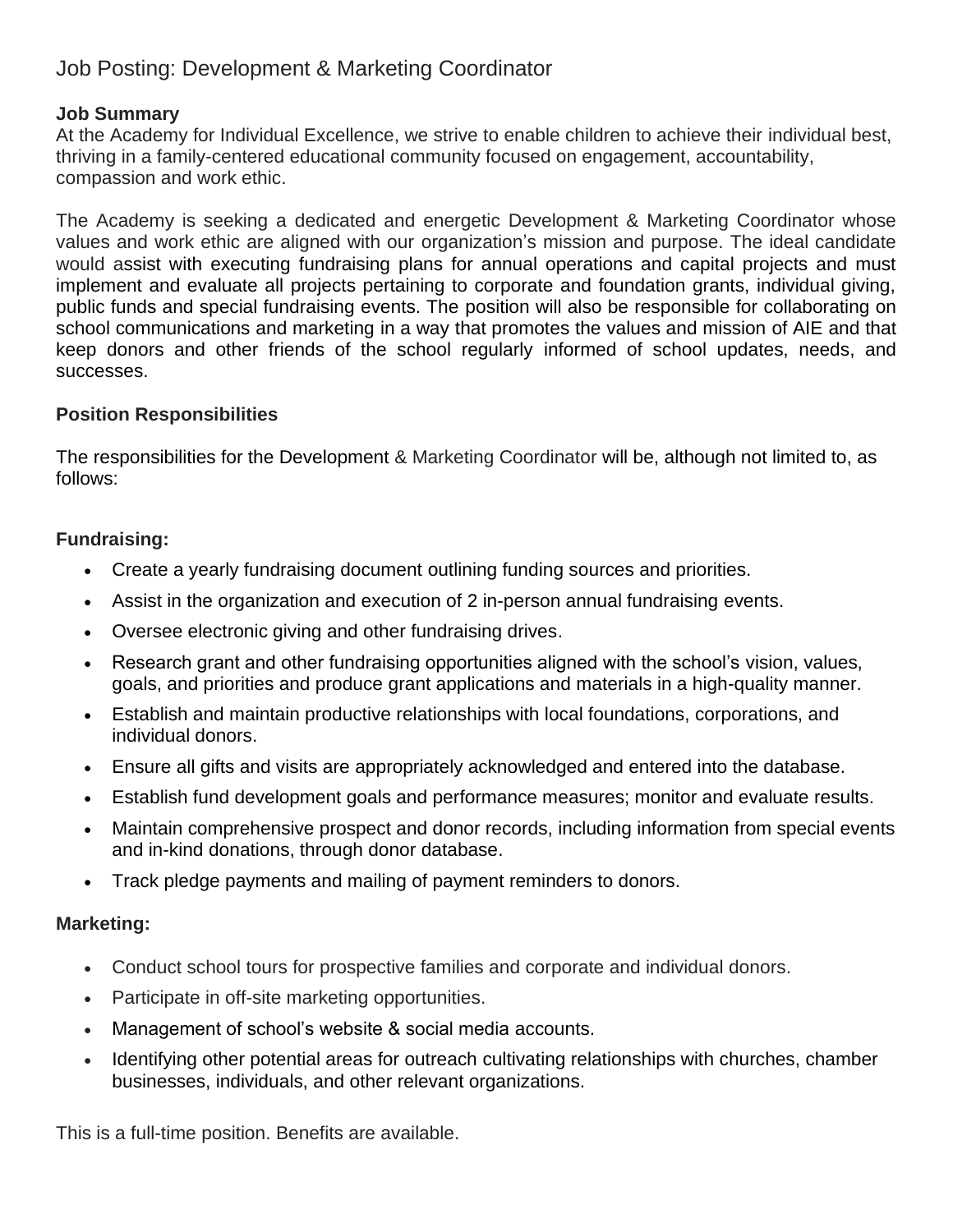# Job Posting: Development & Marketing Coordinator

### **Job Summary**

At the Academy for Individual Excellence, we strive to enable children to achieve their individual best, thriving in a family-centered educational community focused on engagement, accountability, compassion and work ethic.

The Academy is seeking a dedicated and energetic Development & Marketing Coordinator whose values and work ethic are aligned with our organization's mission and purpose. The ideal candidate would assist with executing fundraising plans for annual operations and capital projects and must implement and evaluate all projects pertaining to corporate and foundation grants, individual giving, public funds and special fundraising events. The position will also be responsible for collaborating on school communications and marketing in a way that promotes the values and mission of AIE and that keep donors and other friends of the school regularly informed of school updates, needs, and successes.

### **Position Responsibilities**

The responsibilities for the Development & Marketing Coordinator will be, although not limited to, as follows:

### **Fundraising:**

- Create a yearly fundraising document outlining funding sources and priorities.
- Assist in the organization and execution of 2 in-person annual fundraising events.
- Oversee electronic giving and other fundraising drives.
- Research grant and other fundraising opportunities aligned with the school's vision, values, goals, and priorities and produce grant applications and materials in a high-quality manner.
- Establish and maintain productive relationships with local foundations, corporations, and individual donors.
- Ensure all gifts and visits are appropriately acknowledged and entered into the database.
- Establish fund development goals and performance measures; monitor and evaluate results.
- Maintain comprehensive prospect and donor records, including information from special events and in-kind donations, through donor database.
- Track pledge payments and mailing of payment reminders to donors.

#### **Marketing:**

- Conduct school tours for prospective families and corporate and individual donors.
- Participate in off-site marketing opportunities.
- Management of school's website & social media accounts.
- Identifying other potential areas for outreach cultivating relationships with churches, chamber businesses, individuals, and other relevant organizations.

This is a full-time position. Benefits are available.